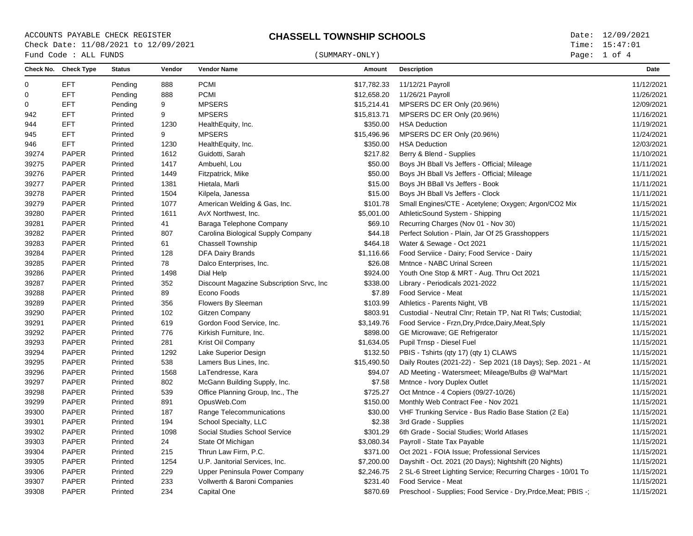ACCOUNTS PAYABLE CHECK REGISTER **CHASSELL TOWNSHIP SCHOOLS** Date: 12/09/2021 Check Date: 11/08/2021 to 12/09/2021  $\begin{array}{cccc}\n\text{Fund Code}: \text{ALL FUNDS}\n\end{array} \tag{SUMMARY-ONLY}$ 

Page: 1 of 4

|             | Check No. Check Type | <b>Status</b> | Vendor | <b>Vendor Name</b>                        | Amount      | <b>Description</b>                                             | <b>Date</b> |
|-------------|----------------------|---------------|--------|-------------------------------------------|-------------|----------------------------------------------------------------|-------------|
| 0           | <b>EFT</b>           | Pending       | 888    | <b>PCMI</b>                               | \$17,782.33 | 11/12/21 Payroll                                               | 11/12/2021  |
| $\mathbf 0$ | EFT                  | Pending       | 888    | <b>PCMI</b>                               | \$12,658.20 | 11/26/21 Payroll                                               | 11/26/2021  |
| $\Omega$    | <b>EFT</b>           | Pending       | 9      | <b>MPSERS</b>                             | \$15,214.41 | MPSERS DC ER Only (20.96%)                                     | 12/09/2021  |
| 942         | <b>EFT</b>           | Printed       | 9      | <b>MPSERS</b>                             | \$15,813.71 | MPSERS DC ER Only (20.96%)                                     | 11/16/2021  |
| 944         | <b>EFT</b>           | Printed       | 1230   | HealthEquity, Inc.                        | \$350.00    | <b>HSA Deduction</b>                                           | 11/19/2021  |
| 945         | <b>EFT</b>           | Printed       | 9      | <b>MPSERS</b>                             | \$15,496.96 | MPSERS DC ER Only (20.96%)                                     | 11/24/2021  |
| 946         | <b>EFT</b>           | Printed       | 1230   | HealthEquity, Inc.                        | \$350.00    | <b>HSA Deduction</b>                                           | 12/03/2021  |
| 39274       | <b>PAPER</b>         | Printed       | 1612   | Guidotti, Sarah                           | \$217.82    | Berry & Blend - Supplies                                       | 11/10/2021  |
| 39275       | PAPER                | Printed       | 1417   | Ambuehl, Lou                              | \$50.00     | Boys JH Bball Vs Jeffers - Official; Mileage                   | 11/11/2021  |
| 39276       | PAPER                | Printed       | 1449   | Fitzpatrick, Mike                         | \$50.00     | Boys JH Bball Vs Jeffers - Official; Mileage                   | 11/11/2021  |
| 39277       | PAPER                | Printed       | 1381   | Hietala, Marli                            | \$15.00     | Boys JH BBall Vs Jeffers - Book                                | 11/11/2021  |
| 39278       | PAPER                | Printed       | 1504   | Kilpela, Janessa                          | \$15.00     | Boys JH Bball Vs Jeffers - Clock                               | 11/11/2021  |
| 39279       | PAPER                | Printed       | 1077   | American Welding & Gas, Inc.              | \$101.78    | Small Engines/CTE - Acetylene; Oxygen; Argon/CO2 Mix           | 11/15/2021  |
| 39280       | PAPER                | Printed       | 1611   | AvX Northwest, Inc.                       | \$5,001.00  | AthleticSound System - Shipping                                | 11/15/2021  |
| 39281       | PAPER                | Printed       | 41     | Baraga Telephone Company                  | \$69.10     | Recurring Charges (Nov 01 - Nov 30)                            | 11/15/2021  |
| 39282       | PAPER                | Printed       | 807    | Carolina Biological Supply Company        | \$44.18     | Perfect Solution - Plain, Jar Of 25 Grasshoppers               | 11/15/2021  |
| 39283       | PAPER                | Printed       | 61     | <b>Chassell Township</b>                  | \$464.18    | Water & Sewage - Oct 2021                                      | 11/15/2021  |
| 39284       | PAPER                | Printed       | 128    | <b>DFA Dairy Brands</b>                   | \$1,116.66  | Food Serviice - Dairy; Food Service - Dairy                    | 11/15/2021  |
| 39285       | PAPER                | Printed       | 78     | Dalco Enterprises, Inc.                   | \$26.08     | Mntnce - NABC Urinal Screen                                    | 11/15/2021  |
| 39286       | PAPER                | Printed       | 1498   | Dial Help                                 | \$924.00    | Youth One Stop & MRT - Aug. Thru Oct 2021                      | 11/15/2021  |
| 39287       | PAPER                | Printed       | 352    | Discount Magazine Subscription Srvc, Inc. | \$338.00    | Library - Periodicals 2021-2022                                | 11/15/2021  |
| 39288       | PAPER                | Printed       | 89     | Econo Foods                               | \$7.89      | Food Service - Meat                                            | 11/15/2021  |
| 39289       | <b>PAPER</b>         | Printed       | 356    | Flowers By Sleeman                        | \$103.99    | Athletics - Parents Night, VB                                  | 11/15/2021  |
| 39290       | PAPER                | Printed       | 102    | Gitzen Company                            | \$803.91    | Custodial - Neutral Clnr; Retain TP, Nat RI Twls; Custodial;   | 11/15/2021  |
| 39291       | PAPER                | Printed       | 619    | Gordon Food Service, Inc.                 | \$3,149.76  | Food Service - Frzn, Dry, Prdce, Dairy, Meat, Sply             | 11/15/2021  |
| 39292       | PAPER                | Printed       | 776    | Kirkish Furniture, Inc.                   | \$898.00    | GE Microwave; GE Refrigerator                                  | 11/15/2021  |
| 39293       | PAPER                | Printed       | 281    | Krist Oil Company                         | \$1,634.05  | Pupil Trnsp - Diesel Fuel                                      | 11/15/2021  |
| 39294       | PAPER                | Printed       | 1292   | Lake Superior Design                      | \$132.50    | PBIS - Tshirts (qty 17) (qty 1) CLAWS                          | 11/15/2021  |
| 39295       | PAPER                | Printed       | 538    | Lamers Bus Lines, Inc.                    | \$15,490.50 | Daily Routes (2021-22) - Sep 2021 (18 Days); Sep. 2021 - At    | 11/15/2021  |
| 39296       | PAPER                | Printed       | 1568   | LaTendresse, Kara                         | \$94.07     | AD Meeting - Watersmeet; Mileage/Bulbs @ Wal*Mart              | 11/15/2021  |
| 39297       | PAPER                | Printed       | 802    | McGann Building Supply, Inc.              | \$7.58      | Mntnce - Ivory Duplex Outlet                                   | 11/15/2021  |
| 39298       | PAPER                | Printed       | 539    | Office Planning Group, Inc., The          | \$725.27    | Oct Mntnce - 4 Copiers (09/27-10/26)                           | 11/15/2021  |
| 39299       | PAPER                | Printed       | 891    | OpusWeb.Com                               | \$150.00    | Monthly Web Contract Fee - Nov 2021                            | 11/15/2021  |
| 39300       | PAPER                | Printed       | 187    | Range Telecommunications                  | \$30.00     | VHF Trunking Service - Bus Radio Base Station (2 Ea)           | 11/15/2021  |
| 39301       | PAPER                | Printed       | 194    | School Specialty, LLC                     | \$2.38      | 3rd Grade - Supplies                                           | 11/15/2021  |
| 39302       | PAPER                | Printed       | 1098   | Social Studies School Service             | \$301.29    | 6th Grade - Social Studies: World Atlases                      | 11/15/2021  |
| 39303       | PAPER                | Printed       | 24     | State Of Michigan                         | \$3,080.34  | Payroll - State Tax Payable                                    | 11/15/2021  |
| 39304       | PAPER                | Printed       | 215    | Thrun Law Firm, P.C.                      | \$371.00    | Oct 2021 - FOIA Issue: Professional Services                   | 11/15/2021  |
| 39305       | PAPER                | Printed       | 1254   | U.P. Janitorial Services, Inc.            | \$7,200.00  | Dayshift - Oct. 2021 (20 Days); Nightshift (20 Nights)         | 11/15/2021  |
| 39306       | <b>PAPER</b>         | Printed       | 229    | Upper Peninsula Power Company             | \$2,246.75  | 2 SL-6 Street Lighting Service; Recurring Charges - 10/01 To   | 11/15/2021  |
| 39307       | PAPER                | Printed       | 233    | Vollwerth & Baroni Companies              | \$231.40    | Food Service - Meat                                            | 11/15/2021  |
| 39308       | <b>PAPER</b>         | Printed       | 234    | Capital One                               | \$870.69    | Preschool - Supplies; Food Service - Dry, Prdce, Meat; PBIS -; | 11/15/2021  |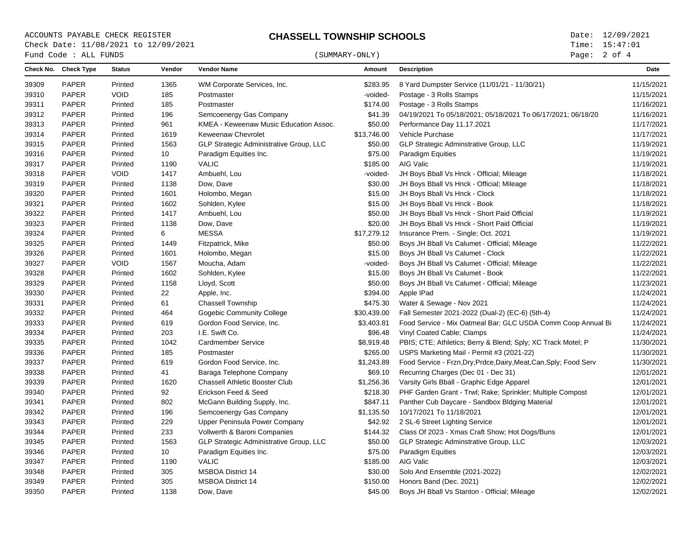ACCOUNTS PAYABLE CHECK REGISTER **CHASSELL TOWNSHIP SCHOOLS** Date: 12/09/2021 Check Date: 11/08/2021 to 12/09/2021

Page: 2 of 4

|       | Check No. Check Type | <b>Status</b> | Vendor |                                         |             |                                                                    |            |
|-------|----------------------|---------------|--------|-----------------------------------------|-------------|--------------------------------------------------------------------|------------|
|       |                      |               |        | <b>Vendor Name</b>                      | Amount      | <b>Description</b>                                                 | Date       |
| 39309 | PAPER                | Printed       | 1365   | WM Corporate Services, Inc.             | \$283.95    | 8 Yard Dumpster Service (11/01/21 - 11/30/21)                      | 11/15/2021 |
| 39310 | <b>PAPER</b>         | <b>VOID</b>   | 185    | Postmaster                              | -voided-    | Postage - 3 Rolls Stamps                                           | 11/15/2021 |
| 39311 | <b>PAPER</b>         | Printed       | 185    | Postmaster                              | \$174.00    | Postage - 3 Rolls Stamps                                           | 11/16/2021 |
| 39312 | <b>PAPER</b>         | Printed       | 196    | Semcoenergy Gas Company                 | \$41.39     | 04/19/2021 To 05/18/2021; 05/18/2021 To 06/17/2021; 06/18/20       | 11/16/2021 |
| 39313 | <b>PAPER</b>         | Printed       | 961    | KMEA - Keweenaw Music Education Assoc.  | \$50.00     | Performance Day 11.17.2021                                         | 11/17/2021 |
| 39314 | <b>PAPER</b>         | Printed       | 1619   | Keweenaw Chevrolet                      | \$13,746.00 | Vehicle Purchase                                                   | 11/17/2021 |
| 39315 | <b>PAPER</b>         | Printed       | 1563   | GLP Strategic Administrative Group, LLC | \$50.00     | GLP Strategic Adminstrative Group, LLC                             | 11/19/2021 |
| 39316 | <b>PAPER</b>         | Printed       | 10     | Paradigm Equities Inc.                  | \$75.00     | Paradigm Equities                                                  | 11/19/2021 |
| 39317 | <b>PAPER</b>         | Printed       | 1190   | <b>VALIC</b>                            | \$185.00    | AIG Valic                                                          | 11/19/2021 |
| 39318 | PAPER                | <b>VOID</b>   | 1417   | Ambuehl, Lou                            | -voided-    | JH Boys Bball Vs Hnck - Official; Mileage                          | 11/18/2021 |
| 39319 | PAPER                | Printed       | 1138   | Dow, Dave                               | \$30.00     | JH Boys Bball Vs Hnck - Official; Mileage                          | 11/18/2021 |
| 39320 | <b>PAPER</b>         | Printed       | 1601   | Holombo, Megan                          | \$15.00     | JH Boys Bball Vs Hnck - Clock                                      | 11/18/2021 |
| 39321 | <b>PAPER</b>         | Printed       | 1602   | Sohlden, Kylee                          | \$15.00     | JH Boys Bball Vs Hnck - Book                                       | 11/18/2021 |
| 39322 | <b>PAPER</b>         | Printed       | 1417   | Ambuehl, Lou                            | \$50.00     | JH Boys Bball Vs Hnck - Short Paid Official                        | 11/19/2021 |
| 39323 | <b>PAPER</b>         | Printed       | 1138   | Dow, Dave                               | \$20.00     | JH Boys Bball Vs Hnck - Short Paid Official                        | 11/19/2021 |
| 39324 | <b>PAPER</b>         | Printed       | 6      | <b>MESSA</b>                            | \$17,279.12 | Insurance Prem. - Single; Oct. 2021                                | 11/19/2021 |
| 39325 | PAPER                | Printed       | 1449   | Fitzpatrick, Mike                       | \$50.00     | Boys JH Bball Vs Calumet - Official; Mileage                       | 11/22/2021 |
| 39326 | <b>PAPER</b>         | Printed       | 1601   | Holombo, Megan                          | \$15.00     | Boys JH Bball Vs Calumet - Clock                                   | 11/22/2021 |
| 39327 | <b>PAPER</b>         | <b>VOID</b>   | 1567   | Moucha, Adam                            | -voided-    | Boys JH Bball Vs Calumet - Official; Mileage                       | 11/22/2021 |
| 39328 | <b>PAPER</b>         | Printed       | 1602   | Sohlden, Kylee                          | \$15.00     | Boys JH Bball Vs Calumet - Book                                    | 11/22/2021 |
| 39329 | <b>PAPER</b>         | Printed       | 1158   | Lloyd, Scott                            | \$50.00     | Boys JH Bball Vs Calumet - Official; Mileage                       | 11/23/2021 |
| 39330 | <b>PAPER</b>         | Printed       | 22     | Apple, Inc.                             | \$394.00    | Apple IPad                                                         | 11/24/2021 |
| 39331 | <b>PAPER</b>         | Printed       | 61     | <b>Chassell Township</b>                | \$475.30    | Water & Sewage - Nov 2021                                          | 11/24/2021 |
| 39332 | <b>PAPER</b>         | Printed       | 464    | Gogebic Community College               | \$30,439.00 | Fall Semester 2021-2022 (Dual-2) (EC-6) (5th-4)                    | 11/24/2021 |
| 39333 | <b>PAPER</b>         | Printed       | 619    | Gordon Food Service, Inc.               | \$3,403.81  | Food Service - Mix Oatmeal Bar; GLC USDA Comm Coop Annual Bi       | 11/24/2021 |
| 39334 | <b>PAPER</b>         | Printed       | 203    | I.E. Swift Co.                          | \$96.48     | Vinyl Coated Cable; Clamps                                         | 11/24/2021 |
| 39335 | <b>PAPER</b>         | Printed       | 1042   | <b>Cardmember Service</b>               | \$8,919.48  | PBIS; CTE; Athletics; Berry & Blend; Sply; XC Track Motel; P       | 11/30/2021 |
| 39336 | <b>PAPER</b>         | Printed       | 185    | Postmaster                              | \$265.00    | USPS Marketing Mail - Permit #3 (2021-22)                          | 11/30/2021 |
| 39337 | <b>PAPER</b>         | Printed       | 619    | Gordon Food Service, Inc.               | \$1,243.89  | Food Service - Frzn, Dry, Prdce, Dairy, Meat, Can, Sply; Food Serv | 11/30/2021 |
| 39338 | <b>PAPER</b>         | Printed       | 41     | Baraga Telephone Company                | \$69.10     | Recurring Charges (Dec 01 - Dec 31)                                | 12/01/2021 |
| 39339 | <b>PAPER</b>         | Printed       | 1620   | <b>Chassell Athletic Booster Club</b>   | \$1,256.36  | Varsity Girls Bball - Graphic Edge Apparel                         | 12/01/2021 |
| 39340 | <b>PAPER</b>         | Printed       | 92     | Erickson Feed & Seed                    | \$218.30    | PHF Garden Grant - Trwl; Rake; Sprinkler; Multiple Compost         | 12/01/2021 |
| 39341 | <b>PAPER</b>         | Printed       | 802    | McGann Building Supply, Inc.            | \$847.11    | Panther Cub Daycare - Sandbox Bldging Material                     | 12/01/2021 |
| 39342 | <b>PAPER</b>         | Printed       | 196    | Semcoenergy Gas Company                 | \$1,135.50  | 10/17/2021 To 11/18/2021                                           | 12/01/2021 |
| 39343 | <b>PAPER</b>         | Printed       | 229    | Upper Peninsula Power Company           | \$42.92     | 2 SL-6 Street Lighting Service                                     | 12/01/2021 |
| 39344 | <b>PAPER</b>         | Printed       | 233    | Vollwerth & Baroni Companies            | \$144.32    | Class Of 2023 - Xmas Craft Show; Hot Dogs/Buns                     | 12/01/2021 |
| 39345 | <b>PAPER</b>         | Printed       | 1563   | GLP Strategic Administrative Group, LLC | \$50.00     | GLP Strategic Adminstrative Group, LLC                             | 12/03/2021 |
| 39346 | <b>PAPER</b>         | Printed       | 10     | Paradigm Equities Inc.                  | \$75.00     | <b>Paradigm Equities</b>                                           | 12/03/2021 |
| 39347 | <b>PAPER</b>         | Printed       | 1190   | <b>VALIC</b>                            | \$185.00    | AIG Valic                                                          | 12/03/2021 |
| 39348 | PAPER                | Printed       | 305    | <b>MSBOA District 14</b>                | \$30.00     | Solo And Ensemble (2021-2022)                                      | 12/02/2021 |
| 39349 | <b>PAPER</b>         | Printed       | 305    | <b>MSBOA District 14</b>                | \$150.00    | Honors Band (Dec. 2021)                                            | 12/02/2021 |
| 39350 | <b>PAPER</b>         | Printed       | 1138   | Dow, Dave                               | \$45.00     | Boys JH Bball Vs Stanton - Official; Mileage                       | 12/02/2021 |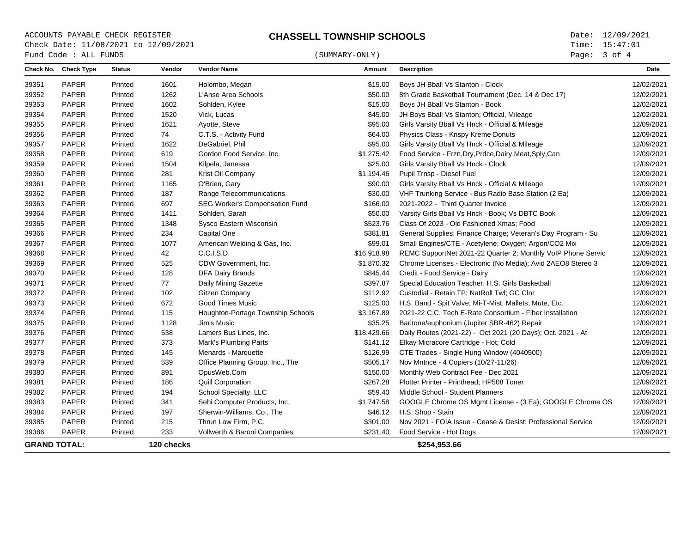ACCOUNTS PAYABLE CHECK REGISTER<br>
C**HASSELL TOWNSHIP SCHOOLS**<br>
Check Date: 11/08/2021 to 12/09/2021 Check Date: 11/08/2021 to 12/09/2021

## $\begin{array}{cccc}\n\texttt{Fund Code : ALL FUNDS}\n\end{array}\n\tag{SUMMARY-ONLY}$

Page: 3 of 4

|                     | Check No. Check Type | <b>Status</b> | Vendor     | <b>Vendor Name</b>                | Amount      | <b>Description</b>                                           | Date       |
|---------------------|----------------------|---------------|------------|-----------------------------------|-------------|--------------------------------------------------------------|------------|
| 39351               | <b>PAPER</b>         | Printed       | 1601       | Holombo, Megan                    | \$15.00     | Boys JH Bball Vs Stanton - Clock                             | 12/02/2021 |
| 39352               | <b>PAPER</b>         | Printed       | 1262       | L'Anse Area Schools               | \$50.00     | 8th Grade Basketball Tournament (Dec. 14 & Dec 17)           | 12/02/2021 |
| 39353               | <b>PAPER</b>         | Printed       | 1602       | Sohlden, Kylee                    | \$15.00     | Boys JH Bball Vs Stanton - Book                              | 12/02/2021 |
| 39354               | PAPER                | Printed       | 1520       | Vick, Lucas                       | \$45.00     | JH Boys Bball Vs Stanton; Official, Mileage                  | 12/02/2021 |
| 39355               | PAPER                | Printed       | 1621       | Ayotte, Steve                     | \$95.00     | Girls Varsity Bball Vs Hnck - Official & Mileage             | 12/09/2021 |
| 39356               | <b>PAPER</b>         | Printed       | 74         | C.T.S. - Activity Fund            | \$64.00     | Physics Class - Krispy Kreme Donuts                          | 12/09/2021 |
| 39357               | <b>PAPER</b>         | Printed       | 1622       | DeGabriel, Phil                   | \$95.00     | Girls Varsity Bball Vs Hnck - Official & Mileage             | 12/09/2021 |
| 39358               | PAPER                | Printed       | 619        | Gordon Food Service, Inc.         | \$1,275.42  | Food Service - Frzn, Dry, Prdce, Dairy, Meat, Sply, Can      | 12/09/2021 |
| 39359               | PAPER                | Printed       | 1504       | Kilpela, Janessa                  | \$25.00     | Girls Varsity Bball Vs Hnck - Clock                          | 12/09/2021 |
| 39360               | <b>PAPER</b>         | Printed       | 281        | Krist Oil Company                 | \$1,194.46  | Pupil Trnsp - Diesel Fuel                                    | 12/09/2021 |
| 39361               | <b>PAPER</b>         | Printed       | 1165       | O'Brien, Gary                     | \$90.00     | Girls Varsity Bball Vs Hnck - Official & Mileage             | 12/09/2021 |
| 39362               | PAPER                | Printed       | 187        | Range Telecommunications          | \$30.00     | VHF Trunking Service - Bus Radio Base Station (2 Ea)         | 12/09/2021 |
| 39363               | <b>PAPER</b>         | Printed       | 697        | SEG Worker's Compensation Fund    | \$166.00    | 2021-2022 - Third Quarter Invoice                            | 12/09/2021 |
| 39364               | <b>PAPER</b>         | Printed       | 1411       | Sohlden, Sarah                    | \$50.00     | Varsity Girls Bball Vs Hnck - Book; Vs DBTC Book             | 12/09/2021 |
| 39365               | PAPER                | Printed       | 1348       | Sysco Eastern Wisconsin           | \$523.76    | Class Of 2023 - Old Fashioned Xmas; Food                     | 12/09/2021 |
| 39366               | <b>PAPER</b>         | Printed       | 234        | Capital One                       | \$381.81    | General Supplies; Finance Charge; Veteran's Day Program - Su | 12/09/2021 |
| 39367               | <b>PAPER</b>         | Printed       | 1077       | American Welding & Gas, Inc.      | \$99.01     | Small Engines/CTE - Acetylene; Oxygen; Argon/CO2 Mix         | 12/09/2021 |
| 39368               | PAPER                | Printed       | 42         | C.C.I.S.D.                        | \$16,918.98 | REMC SupportNet 2021-22 Quarter 2; Monthly VoIP Phone Servic | 12/09/2021 |
| 39369               | PAPER                | Printed       | 525        | CDW Government, Inc.              | \$1,870.32  | Chrome Licenses - Electronic (No Media); Avid 2AEO8 Stereo 3 | 12/09/2021 |
| 39370               | <b>PAPER</b>         | Printed       | 128        | <b>DFA Dairy Brands</b>           | \$845.44    | Credit - Food Service - Dairy                                | 12/09/2021 |
| 39371               | <b>PAPER</b>         | Printed       | 77         | Daily Mining Gazette              | \$397.87    | Special Education Teacher; H.S. Girls Basketball             | 12/09/2021 |
| 39372               | <b>PAPER</b>         | Printed       | 102        | <b>Gitzen Company</b>             | \$112.92    | Custodial - Retain TP; NatRoll Twl; GC Clnr                  | 12/09/2021 |
| 39373               | PAPER                | Printed       | 672        | <b>Good Times Music</b>           | \$125.00    | H.S. Band - Spit Valve; Mi-T-Mist; Mallets; Mute, Etc.       | 12/09/2021 |
| 39374               | PAPER                | Printed       | 115        | Houghton-Portage Township Schools | \$3,167.89  | 2021-22 C.C. Tech E-Rate Consortium - Fiber Installation     | 12/09/2021 |
| 39375               | PAPER                | Printed       | 1128       | Jim's Music                       | \$35.25     | Baritone/euphonium (Jupiter SBR-462) Repair                  | 12/09/2021 |
| 39376               | PAPER                | Printed       | 538        | Lamers Bus Lines, Inc.            | \$18,429.66 | Daily Routes (2021-22) - Oct 2021 (20 Days); Oct. 2021 - At  | 12/09/2021 |
| 39377               | PAPER                | Printed       | 373        | Mark's Plumbing Parts             | \$141.12    | Elkay Micracore Cartridge - Hot; Cold                        | 12/09/2021 |
| 39378               | <b>PAPER</b>         | Printed       | 145        | Menards - Marquette               | \$126.99    | CTE Trades - Single Hung Window (4040500)                    | 12/09/2021 |
| 39379               | <b>PAPER</b>         | Printed       | 539        | Office Planning Group, Inc., The  | \$505.17    | Nov Mntnce - 4 Copiers (10/27-11/26)                         | 12/09/2021 |
| 39380               | <b>PAPER</b>         | Printed       | 891        | OpusWeb.Com                       | \$150.00    | Monthly Web Contract Fee - Dec 2021                          | 12/09/2021 |
| 39381               | <b>PAPER</b>         | Printed       | 186        | <b>Quill Corporation</b>          | \$267.28    | Plotter Printer - Printhead: HP508 Toner                     | 12/09/2021 |
| 39382               | <b>PAPER</b>         | Printed       | 194        | School Specialty, LLC             | \$59.40     | Middle School - Student Planners                             | 12/09/2021 |
| 39383               | <b>PAPER</b>         | Printed       | 341        | Sehi Computer Products, Inc.      | \$1,747.58  | GOOGLE Chrome OS Mgmt License - (3 Ea); GOOGLE Chrome OS     | 12/09/2021 |
| 39384               | <b>PAPER</b>         | Printed       | 197        | Sherwin-Williams, Co., The        | \$46.12     | H.S. Shop - Stain                                            | 12/09/2021 |
| 39385               | PAPER                | Printed       | 215        | Thrun Law Firm, P.C.              | \$301.00    | Nov 2021 - FOIA Issue - Cease & Desist; Professional Service | 12/09/2021 |
| 39386               | <b>PAPER</b>         | Printed       | 233        | Vollwerth & Baroni Companies      | \$231.40    | Food Service - Hot Dogs                                      | 12/09/2021 |
| <b>GRAND TOTAL:</b> |                      |               | 120 checks |                                   |             | \$254,953.66                                                 |            |